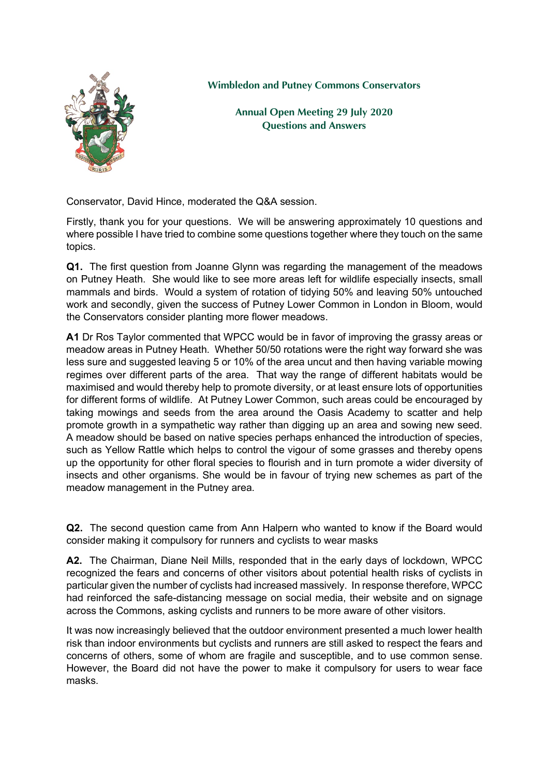

**Wimbledon and Putney Commons Conservators**

**Annual Open Meeting 29 July 2020 Questions and Answers**

Conservator, David Hince, moderated the Q&A session.

Firstly, thank you for your questions. We will be answering approximately 10 questions and where possible I have tried to combine some questions together where they touch on the same topics.

**Q1.** The first question from Joanne Glynn was regarding the management of the meadows on Putney Heath. She would like to see more areas left for wildlife especially insects, small mammals and birds. Would a system of rotation of tidying 50% and leaving 50% untouched work and secondly, given the success of Putney Lower Common in London in Bloom, would the Conservators consider planting more flower meadows.

**A1** Dr Ros Taylor commented that WPCC would be in favor of improving the grassy areas or meadow areas in Putney Heath. Whether 50/50 rotations were the right way forward she was less sure and suggested leaving 5 or 10% of the area uncut and then having variable mowing regimes over different parts of the area. That way the range of different habitats would be maximised and would thereby help to promote diversity, or at least ensure lots of opportunities for different forms of wildlife. At Putney Lower Common, such areas could be encouraged by taking mowings and seeds from the area around the Oasis Academy to scatter and help promote growth in a sympathetic way rather than digging up an area and sowing new seed. A meadow should be based on native species perhaps enhanced the introduction of species, such as Yellow Rattle which helps to control the vigour of some grasses and thereby opens up the opportunity for other floral species to flourish and in turn promote a wider diversity of insects and other organisms. She would be in favour of trying new schemes as part of the meadow management in the Putney area.

**Q2.** The second question came from Ann Halpern who wanted to know if the Board would consider making it compulsory for runners and cyclists to wear masks

**A2.** The Chairman, Diane Neil Mills, responded that in the early days of lockdown, WPCC recognized the fears and concerns of other visitors about potential health risks of cyclists in particular given the number of cyclists had increased massively. In response therefore, WPCC had reinforced the safe-distancing message on social media, their website and on signage across the Commons, asking cyclists and runners to be more aware of other visitors.

It was now increasingly believed that the outdoor environment presented a much lower health risk than indoor environments but cyclists and runners are still asked to respect the fears and concerns of others, some of whom are fragile and susceptible, and to use common sense. However, the Board did not have the power to make it compulsory for users to wear face masks.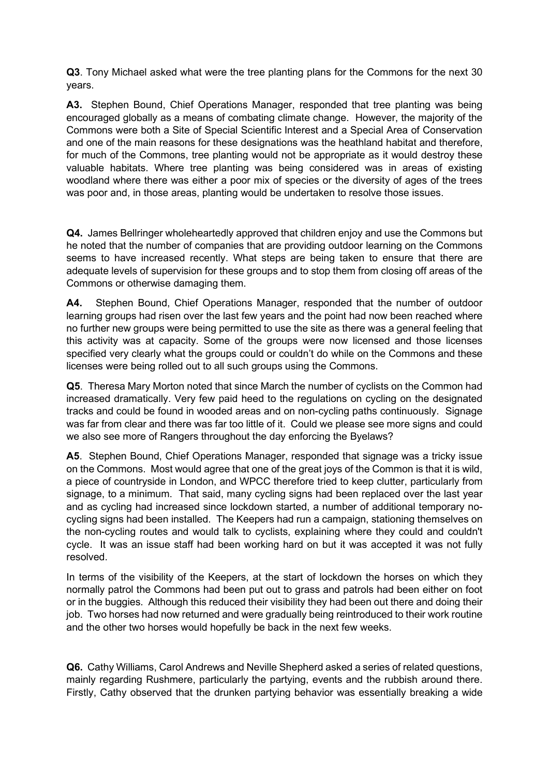**Q3**. Tony Michael asked what were the tree planting plans for the Commons for the next 30 years.

**A3.** Stephen Bound, Chief Operations Manager, responded that tree planting was being encouraged globally as a means of combating climate change. However, the majority of the Commons were both a Site of Special Scientific Interest and a Special Area of Conservation and one of the main reasons for these designations was the heathland habitat and therefore, for much of the Commons, tree planting would not be appropriate as it would destroy these valuable habitats. Where tree planting was being considered was in areas of existing woodland where there was either a poor mix of species or the diversity of ages of the trees was poor and, in those areas, planting would be undertaken to resolve those issues.

**Q4.** James Bellringer wholeheartedly approved that children enjoy and use the Commons but he noted that the number of companies that are providing outdoor learning on the Commons seems to have increased recently. What steps are being taken to ensure that there are adequate levels of supervision for these groups and to stop them from closing off areas of the Commons or otherwise damaging them.

**A4.** Stephen Bound, Chief Operations Manager, responded that the number of outdoor learning groups had risen over the last few years and the point had now been reached where no further new groups were being permitted to use the site as there was a general feeling that this activity was at capacity. Some of the groups were now licensed and those licenses specified very clearly what the groups could or couldn't do while on the Commons and these licenses were being rolled out to all such groups using the Commons.

**Q5**. Theresa Mary Morton noted that since March the number of cyclists on the Common had increased dramatically. Very few paid heed to the regulations on cycling on the designated tracks and could be found in wooded areas and on non-cycling paths continuously. Signage was far from clear and there was far too little of it. Could we please see more signs and could we also see more of Rangers throughout the day enforcing the Byelaws?

**A5**. Stephen Bound, Chief Operations Manager, responded that signage was a tricky issue on the Commons. Most would agree that one of the great joys of the Common is that it is wild, a piece of countryside in London, and WPCC therefore tried to keep clutter, particularly from signage, to a minimum. That said, many cycling signs had been replaced over the last year and as cycling had increased since lockdown started, a number of additional temporary nocycling signs had been installed. The Keepers had run a campaign, stationing themselves on the non-cycling routes and would talk to cyclists, explaining where they could and couldn't cycle. It was an issue staff had been working hard on but it was accepted it was not fully resolved.

In terms of the visibility of the Keepers, at the start of lockdown the horses on which they normally patrol the Commons had been put out to grass and patrols had been either on foot or in the buggies. Although this reduced their visibility they had been out there and doing their job. Two horses had now returned and were gradually being reintroduced to their work routine and the other two horses would hopefully be back in the next few weeks.

**Q6.** Cathy Williams, Carol Andrews and Neville Shepherd asked a series of related questions, mainly regarding Rushmere, particularly the partying, events and the rubbish around there. Firstly, Cathy observed that the drunken partying behavior was essentially breaking a wide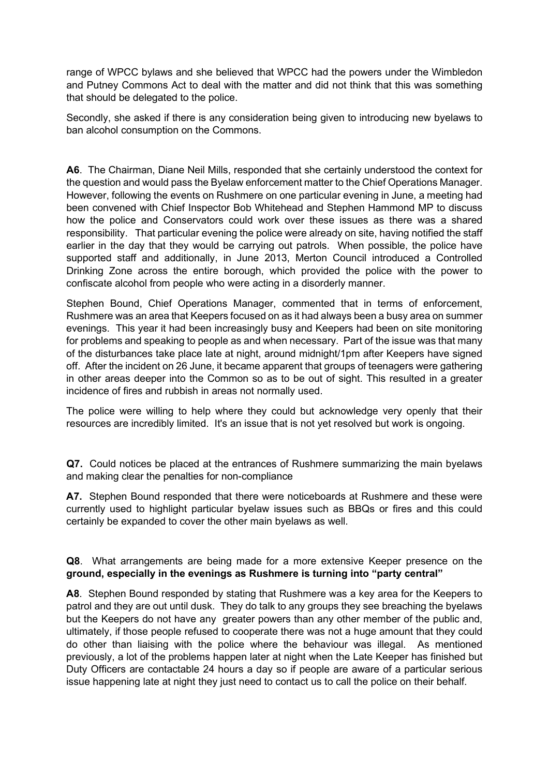range of WPCC bylaws and she believed that WPCC had the powers under the Wimbledon and Putney Commons Act to deal with the matter and did not think that this was something that should be delegated to the police.

Secondly, she asked if there is any consideration being given to introducing new byelaws to ban alcohol consumption on the Commons.

**A6**. The Chairman, Diane Neil Mills, responded that she certainly understood the context for the question and would pass the Byelaw enforcement matter to the Chief Operations Manager. However, following the events on Rushmere on one particular evening in June, a meeting had been convened with Chief Inspector Bob Whitehead and Stephen Hammond MP to discuss how the police and Conservators could work over these issues as there was a shared responsibility. That particular evening the police were already on site, having notified the staff earlier in the day that they would be carrying out patrols. When possible, the police have supported staff and additionally, in June 2013, Merton Council introduced a Controlled Drinking Zone across the entire borough, which provided the police with the power to confiscate alcohol from people who were acting in a disorderly manner.

Stephen Bound, Chief Operations Manager, commented that in terms of enforcement, Rushmere was an area that Keepers focused on as it had always been a busy area on summer evenings. This year it had been increasingly busy and Keepers had been on site monitoring for problems and speaking to people as and when necessary. Part of the issue was that many of the disturbances take place late at night, around midnight/1pm after Keepers have signed off. After the incident on 26 June, it became apparent that groups of teenagers were gathering in other areas deeper into the Common so as to be out of sight. This resulted in a greater incidence of fires and rubbish in areas not normally used.

The police were willing to help where they could but acknowledge very openly that their resources are incredibly limited. It's an issue that is not yet resolved but work is ongoing.

**Q7.** Could notices be placed at the entrances of Rushmere summarizing the main byelaws and making clear the penalties for non-compliance

**A7.** Stephen Bound responded that there were noticeboards at Rushmere and these were currently used to highlight particular byelaw issues such as BBQs or fires and this could certainly be expanded to cover the other main byelaws as well.

# **Q8**. What arrangements are being made for a more extensive Keeper presence on the **ground, especially in the evenings as Rushmere is turning into "party central"**

**A8**. Stephen Bound responded by stating that Rushmere was a key area for the Keepers to patrol and they are out until dusk. They do talk to any groups they see breaching the byelaws but the Keepers do not have any greater powers than any other member of the public and, ultimately, if those people refused to cooperate there was not a huge amount that they could do other than liaising with the police where the behaviour was illegal. As mentioned previously, a lot of the problems happen later at night when the Late Keeper has finished but Duty Officers are contactable 24 hours a day so if people are aware of a particular serious issue happening late at night they just need to contact us to call the police on their behalf.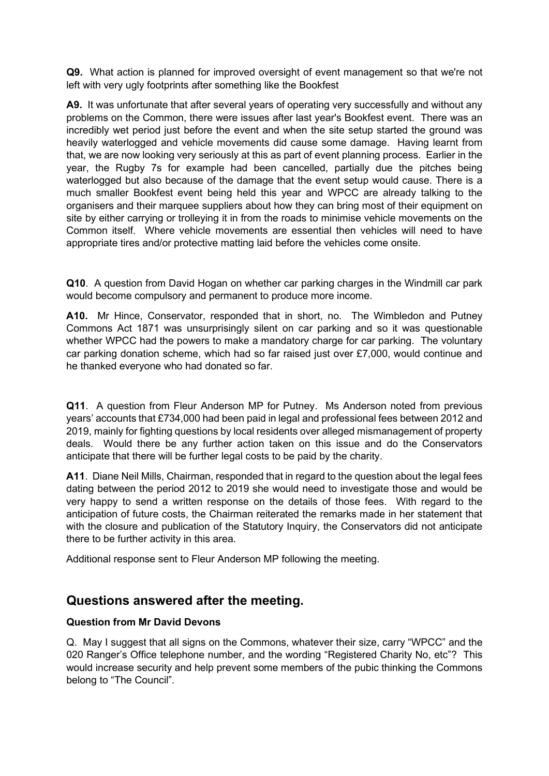**Q9.** What action is planned for improved oversight of event management so that we're not left with very ugly footprints after something like the Bookfest

**A9.** It was unfortunate that after several years of operating very successfully and without any problems on the Common, there were issues after last year's Bookfest event. There was an incredibly wet period just before the event and when the site setup started the ground was heavily waterlogged and vehicle movements did cause some damage. Having learnt from that, we are now looking very seriously at this as part of event planning process. Earlier in the year, the Rugby 7s for example had been cancelled, partially due the pitches being waterlogged but also because of the damage that the event setup would cause. There is a much smaller Bookfest event being held this year and WPCC are already talking to the organisers and their marquee suppliers about how they can bring most of their equipment on site by either carrying or trolleying it in from the roads to minimise vehicle movements on the Common itself. Where vehicle movements are essential then vehicles will need to have appropriate tires and/or protective matting laid before the vehicles come onsite.

**Q10**. A question from David Hogan on whether car parking charges in the Windmill car park would become compulsory and permanent to produce more income.

**A10.** Mr Hince, Conservator, responded that in short, no. The Wimbledon and Putney Commons Act 1871 was unsurprisingly silent on car parking and so it was questionable whether WPCC had the powers to make a mandatory charge for car parking. The voluntary car parking donation scheme, which had so far raised just over £7,000, would continue and he thanked everyone who had donated so far.

**Q11**. A question from Fleur Anderson MP for Putney. Ms Anderson noted from previous years' accounts that £734,000 had been paid in legal and professional fees between 2012 and 2019, mainly for fighting questions by local residents over alleged mismanagement of property deals. Would there be any further action taken on this issue and do the Conservators anticipate that there will be further legal costs to be paid by the charity.

**A11**. Diane Neil Mills, Chairman, responded that in regard to the question about the legal fees dating between the period 2012 to 2019 she would need to investigate those and would be very happy to send a written response on the details of those fees. With regard to the anticipation of future costs, the Chairman reiterated the remarks made in her statement that with the closure and publication of the Statutory Inquiry, the Conservators did not anticipate there to be further activity in this area.

Additional response sent to Fleur Anderson MP following the meeting.

# **Questions answered after the meeting.**

# **Question from Mr David Devons**

Q. May I suggest that all signs on the Commons, whatever their size, carry "WPCC" and the 020 Ranger's Office telephone number, and the wording "Registered Charity No, etc"? This would increase security and help prevent some members of the pubic thinking the Commons belong to "The Council".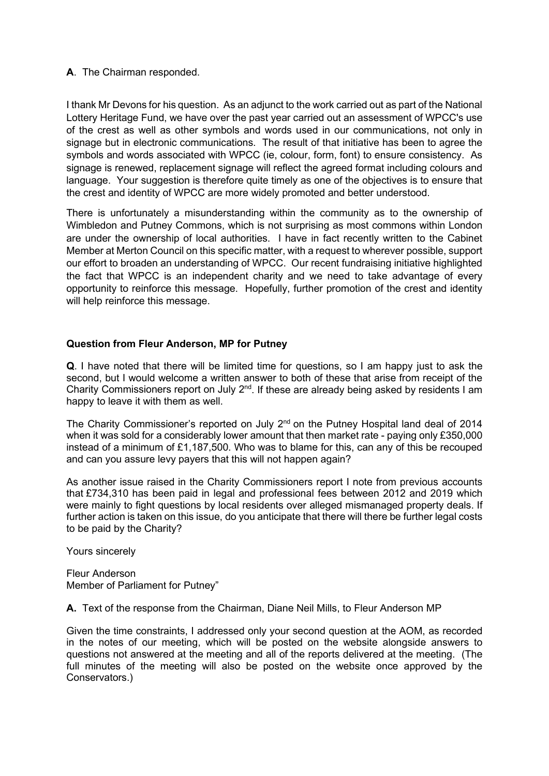# **A**. The Chairman responded.

I thank Mr Devons for his question. As an adjunct to the work carried out as part of the National Lottery Heritage Fund, we have over the past year carried out an assessment of WPCC's use of the crest as well as other symbols and words used in our communications, not only in signage but in electronic communications. The result of that initiative has been to agree the symbols and words associated with WPCC (ie, colour, form, font) to ensure consistency. As signage is renewed, replacement signage will reflect the agreed format including colours and language. Your suggestion is therefore quite timely as one of the objectives is to ensure that the crest and identity of WPCC are more widely promoted and better understood.

There is unfortunately a misunderstanding within the community as to the ownership of Wimbledon and Putney Commons, which is not surprising as most commons within London are under the ownership of local authorities. I have in fact recently written to the Cabinet Member at Merton Council on this specific matter, with a request to wherever possible, support our effort to broaden an understanding of WPCC. Our recent fundraising initiative highlighted the fact that WPCC is an independent charity and we need to take advantage of every opportunity to reinforce this message. Hopefully, further promotion of the crest and identity will help reinforce this message.

#### **Question from Fleur Anderson, MP for Putney**

**Q**. I have noted that there will be limited time for questions, so I am happy just to ask the second, but I would welcome a written answer to both of these that arise from receipt of the Charity Commissioners report on July  $2<sup>nd</sup>$ . If these are already being asked by residents I am happy to leave it with them as well.

The Charity Commissioner's reported on July 2<sup>nd</sup> on the Putney Hospital land deal of 2014 when it was sold for a considerably lower amount that then market rate - paying only £350,000 instead of a minimum of £1,187,500. Who was to blame for this, can any of this be recouped and can you assure levy payers that this will not happen again?

As another issue raised in the Charity Commissioners report I note from previous accounts that £734,310 has been paid in legal and professional fees between 2012 and 2019 which were mainly to fight questions by local residents over alleged mismanaged property deals. If further action is taken on this issue, do you anticipate that there will there be further legal costs to be paid by the Charity?

Yours sincerely

Fleur Anderson Member of Parliament for Putney"

**A.** Text of the response from the Chairman, Diane Neil Mills, to Fleur Anderson MP

Given the time constraints, I addressed only your second question at the AOM, as recorded in the notes of our meeting, which will be posted on the website alongside answers to questions not answered at the meeting and all of the reports delivered at the meeting. (The full minutes of the meeting will also be posted on the website once approved by the Conservators.)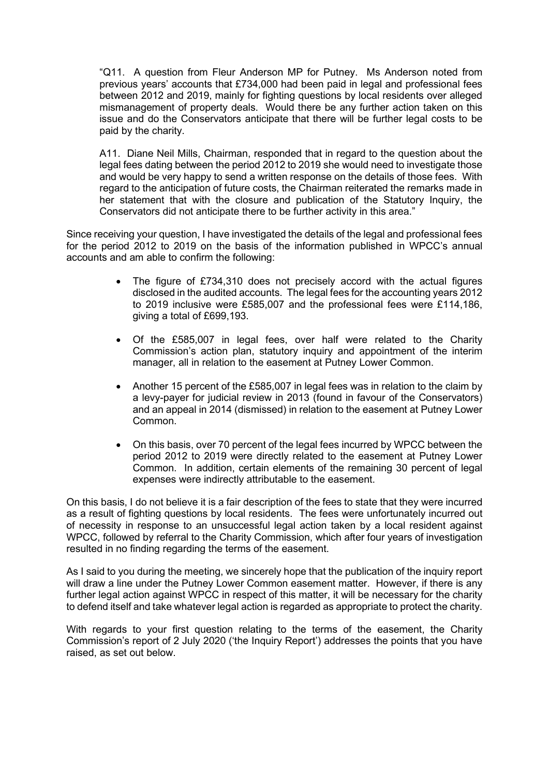"Q11. A question from Fleur Anderson MP for Putney. Ms Anderson noted from previous years' accounts that £734,000 had been paid in legal and professional fees between 2012 and 2019, mainly for fighting questions by local residents over alleged mismanagement of property deals. Would there be any further action taken on this issue and do the Conservators anticipate that there will be further legal costs to be paid by the charity.

A11. Diane Neil Mills, Chairman, responded that in regard to the question about the legal fees dating between the period 2012 to 2019 she would need to investigate those and would be very happy to send a written response on the details of those fees. With regard to the anticipation of future costs, the Chairman reiterated the remarks made in her statement that with the closure and publication of the Statutory Inquiry, the Conservators did not anticipate there to be further activity in this area."

Since receiving your question, I have investigated the details of the legal and professional fees for the period 2012 to 2019 on the basis of the information published in WPCC's annual accounts and am able to confirm the following:

- The figure of £734,310 does not precisely accord with the actual figures disclosed in the audited accounts. The legal fees for the accounting years 2012 to 2019 inclusive were £585,007 and the professional fees were £114,186, giving a total of £699,193.
- Of the £585,007 in legal fees, over half were related to the Charity Commission's action plan, statutory inquiry and appointment of the interim manager, all in relation to the easement at Putney Lower Common.
- Another 15 percent of the £585,007 in legal fees was in relation to the claim by a levy-payer for judicial review in 2013 (found in favour of the Conservators) and an appeal in 2014 (dismissed) in relation to the easement at Putney Lower Common.
- On this basis, over 70 percent of the legal fees incurred by WPCC between the period 2012 to 2019 were directly related to the easement at Putney Lower Common. In addition, certain elements of the remaining 30 percent of legal expenses were indirectly attributable to the easement.

On this basis, I do not believe it is a fair description of the fees to state that they were incurred as a result of fighting questions by local residents. The fees were unfortunately incurred out of necessity in response to an unsuccessful legal action taken by a local resident against WPCC, followed by referral to the Charity Commission, which after four years of investigation resulted in no finding regarding the terms of the easement.

As I said to you during the meeting, we sincerely hope that the publication of the inquiry report will draw a line under the Putney Lower Common easement matter. However, if there is any further legal action against WPCC in respect of this matter, it will be necessary for the charity to defend itself and take whatever legal action is regarded as appropriate to protect the charity.

With regards to your first question relating to the terms of the easement, the Charity Commission's report of 2 July 2020 ('the Inquiry Report') addresses the points that you have raised, as set out below.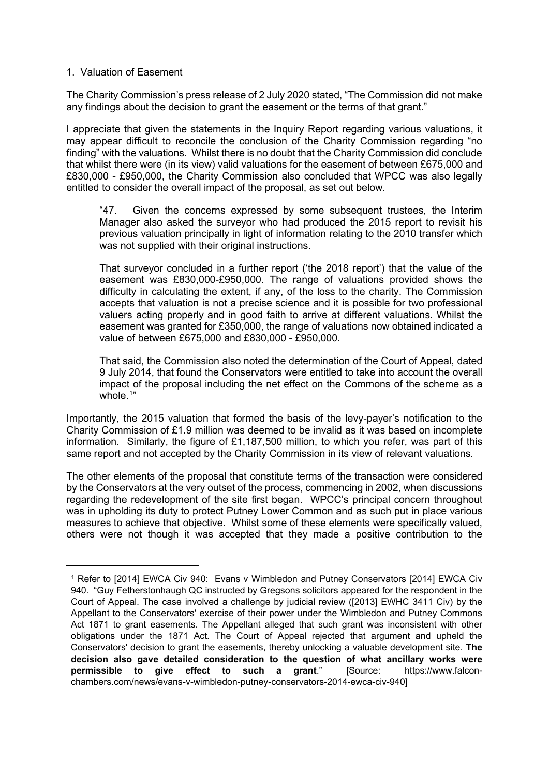#### 1. Valuation of Easement

The Charity Commission's press release of 2 July 2020 stated, "The Commission did not make any findings about the decision to grant the easement or the terms of that grant."

I appreciate that given the statements in the Inquiry Report regarding various valuations, it may appear difficult to reconcile the conclusion of the Charity Commission regarding "no finding" with the valuations. Whilst there is no doubt that the Charity Commission did conclude that whilst there were (in its view) valid valuations for the easement of between £675,000 and £830,000 - £950,000, the Charity Commission also concluded that WPCC was also legally entitled to consider the overall impact of the proposal, as set out below.

"47. Given the concerns expressed by some subsequent trustees, the Interim Manager also asked the surveyor who had produced the 2015 report to revisit his previous valuation principally in light of information relating to the 2010 transfer which was not supplied with their original instructions.

That surveyor concluded in a further report ('the 2018 report') that the value of the easement was £830,000-£950,000. The range of valuations provided shows the difficulty in calculating the extent, if any, of the loss to the charity. The Commission accepts that valuation is not a precise science and it is possible for two professional valuers acting properly and in good faith to arrive at different valuations. Whilst the easement was granted for £350,000, the range of valuations now obtained indicated a value of between £675,000 and £830,000 - £950,000.

That said, the Commission also noted the determination of the Court of Appeal, dated 9 July 2014, that found the Conservators were entitled to take into account the overall impact of the proposal including the net effect on the Commons of the scheme as a whole.<sup>[1](#page-6-0)</sup>"

Importantly, the 2015 valuation that formed the basis of the levy-payer's notification to the Charity Commission of £1.9 million was deemed to be invalid as it was based on incomplete information. Similarly, the figure of £1,187,500 million, to which you refer, was part of this same report and not accepted by the Charity Commission in its view of relevant valuations.

The other elements of the proposal that constitute terms of the transaction were considered by the Conservators at the very outset of the process, commencing in 2002, when discussions regarding the redevelopment of the site first began. WPCC's principal concern throughout was in upholding its duty to protect Putney Lower Common and as such put in place various measures to achieve that objective. Whilst some of these elements were specifically valued, others were not though it was accepted that they made a positive contribution to the

<span id="page-6-0"></span><sup>1</sup> Refer to [2014] EWCA Civ 940: Evans v Wimbledon and Putney Conservators [2014] EWCA Civ 940. "Guy Fetherstonhaugh QC instructed by Gregsons solicitors appeared for the respondent in the Court of Appeal. The case involved a challenge by judicial review ([2013] EWHC 3411 Civ) by the Appellant to the Conservators' exercise of their power under the Wimbledon and Putney Commons Act 1871 to grant easements. The Appellant alleged that such grant was inconsistent with other obligations under the 1871 Act. The Court of Appeal rejected that argument and upheld the Conservators' decision to grant the easements, thereby unlocking a valuable development site. **The decision also gave detailed consideration to the question of what ancillary works were permissible to give effect to such a grant**." [Source: https://www.falconchambers.com/news/evans-v-wimbledon-putney-conservators-2014-ewca-civ-940]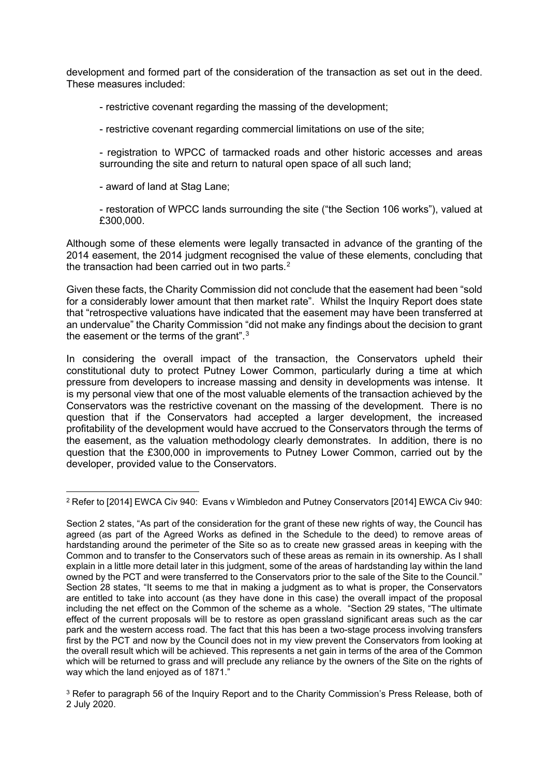development and formed part of the consideration of the transaction as set out in the deed. These measures included:

- restrictive covenant regarding the massing of the development;

- restrictive covenant regarding commercial limitations on use of the site;

- registration to WPCC of tarmacked roads and other historic accesses and areas surrounding the site and return to natural open space of all such land;

- award of land at Stag Lane;

- restoration of WPCC lands surrounding the site ("the Section 106 works"), valued at £300,000.

Although some of these elements were legally transacted in advance of the granting of the 2014 easement, the 2014 judgment recognised the value of these elements, concluding that the transaction had been carried out in two parts.<sup>[2](#page-7-0)</sup>

Given these facts, the Charity Commission did not conclude that the easement had been "sold for a considerably lower amount that then market rate". Whilst the Inquiry Report does state that "retrospective valuations have indicated that the easement may have been transferred at an undervalue" the Charity Commission "did not make any findings about the decision to grant the easement or the terms of the grant". $3$ 

In considering the overall impact of the transaction, the Conservators upheld their constitutional duty to protect Putney Lower Common, particularly during a time at which pressure from developers to increase massing and density in developments was intense. It is my personal view that one of the most valuable elements of the transaction achieved by the Conservators was the restrictive covenant on the massing of the development. There is no question that if the Conservators had accepted a larger development, the increased profitability of the development would have accrued to the Conservators through the terms of the easement, as the valuation methodology clearly demonstrates. In addition, there is no question that the £300,000 in improvements to Putney Lower Common, carried out by the developer, provided value to the Conservators.

<span id="page-7-0"></span><sup>2</sup> Refer to [2014] EWCA Civ 940: Evans v Wimbledon and Putney Conservators [2014] EWCA Civ 940:

Section 2 states, "As part of the consideration for the grant of these new rights of way, the Council has agreed (as part of the Agreed Works as defined in the Schedule to the deed) to remove areas of hardstanding around the perimeter of the Site so as to create new grassed areas in keeping with the Common and to transfer to the Conservators such of these areas as remain in its ownership. As I shall explain in a little more detail later in this judgment, some of the areas of hardstanding lay within the land owned by the PCT and were transferred to the Conservators prior to the sale of the Site to the Council." Section 28 states, "It seems to me that in making a judgment as to what is proper, the Conservators are entitled to take into account (as they have done in this case) the overall impact of the proposal including the net effect on the Common of the scheme as a whole. "Section 29 states, "The ultimate effect of the current proposals will be to restore as open grassland significant areas such as the car park and the western access road. The fact that this has been a two-stage process involving transfers first by the PCT and now by the Council does not in my view prevent the Conservators from looking at the overall result which will be achieved. This represents a net gain in terms of the area of the Common which will be returned to grass and will preclude any reliance by the owners of the Site on the rights of way which the land enjoyed as of 1871."

<span id="page-7-1"></span><sup>3</sup> Refer to paragraph 56 of the Inquiry Report and to the Charity Commission's Press Release, both of 2 July 2020.